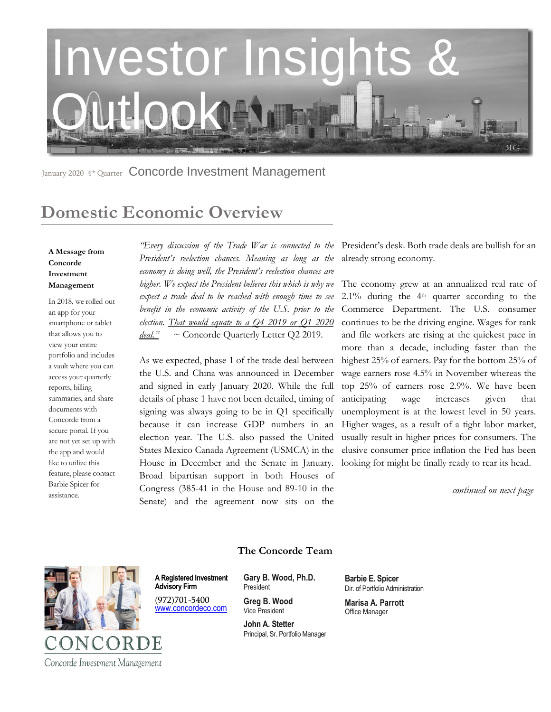

January 2020 4<sup>th</sup> Quarter Concorde Investment Management

## **Domestic Economic Overview**

#### **A Message from Concorde Investment Management**

In 2018, we rolled out an app for your smartphone or tablet that allows you to view your entire portfolio and includes a vault where you can access your quarterly reports, billing summaries, and share documents with Concorde from a secure portal. If you are not yet set up with the app and would like to utilize this feature, please contact Barbie Spicer for assistance.

*President's reelection chances. Meaning as long as the economy is doing well, the President's reelection chances are higher. We expect the President believes this which is why we expect a trade deal to be reached with enough time to see benefit in the economic activity of the U.S. prior to the election. That would equate to a Q4 2019 or Q1 2020 deal."* ~ Concorde Quarterly Letter Q2 2019.

As we expected, phase 1 of the trade deal between the U.S. and China was announced in December and signed in early January 2020. While the full details of phase 1 have not been detailed, timing of signing was always going to be in Q1 specifically because it can increase GDP numbers in an election year. The U.S. also passed the United States Mexico Canada Agreement (USMCA) in the House in December and the Senate in January. Broad bipartisan support in both Houses of Congress (385-41 in the House and 89-10 in the Senate) and the agreement now sits on the

*"Every discussion of the Trade War is connected to the*  President's desk. Both trade deals are bullish for an already strong economy.

> The economy grew at an annualized real rate of 2.1% during the 4th quarter according to the Commerce Department. The U.S. consumer continues to be the driving engine. Wages for rank and file workers are rising at the quickest pace in more than a decade, including faster than the highest 25% of earners. Pay for the bottom 25% of wage earners rose 4.5% in November whereas the top 25% of earners rose 2.9%. We have been anticipating wage increases given that unemployment is at the lowest level in 50 years. Higher wages, as a result of a tight labor market, usually result in higher prices for consumers. The elusive consumer price inflation the Fed has been looking for might be finally ready to rear its head.

> > *continued on next page*



COR

Concorde Investment Management

**The Concorde Team**

**A Registered Investment Advisory Firm**  (972)701-5400

[www.concordeco.com](http://www.concordeco.com/)

**Gary B. Wood, Ph.D.** President

**Greg B. Wood** Vice President

**John A. Stetter**  Principal, Sr. Portfolio Manager **Barbie E. Spicer**  Dir. of Portfolio Administration **Marisa A. Parrott**

Office Manager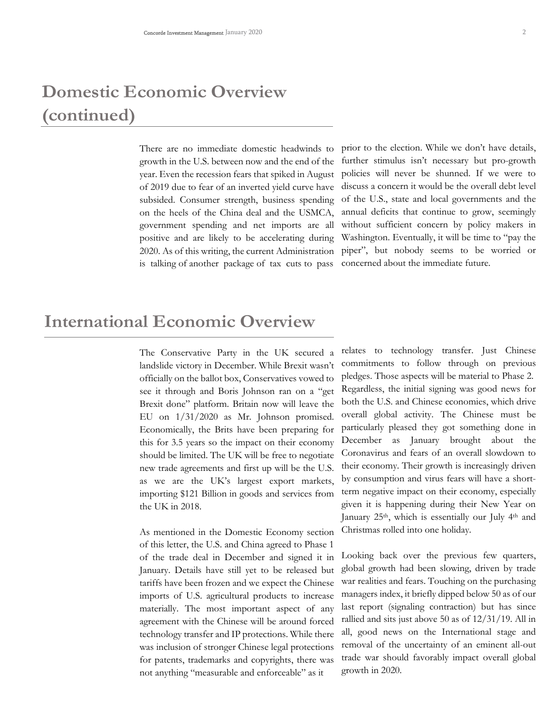# **Domestic Economic Overview (continued)**

growth in the U.S. between now and the end of the year. Even the recession fears that spiked in August of 2019 due to fear of an inverted yield curve have subsided. Consumer strength, business spending on the heels of the China deal and the USMCA, government spending and net imports are all positive and are likely to be accelerating during 2020. As of this writing, the current Administration is talking of another package of tax cuts to pass

There are no immediate domestic headwinds to prior to the election. While we don't have details, further stimulus isn't necessary but pro-growth policies will never be shunned. If we were to discuss a concern it would be the overall debt level of the U.S., state and local governments and the annual deficits that continue to grow, seemingly without sufficient concern by policy makers in Washington. Eventually, it will be time to "pay the piper", but nobody seems to be worried or concerned about the immediate future.

#### **International Economic Overview**

The Conservative Party in the UK secured a landslide victory in December. While Brexit wasn't officially on the ballot box, Conservatives vowed to see it through and Boris Johnson ran on a "get Brexit done" platform. Britain now will leave the EU on 1/31/2020 as Mr. Johnson promised. Economically, the Brits have been preparing for this for 3.5 years so the impact on their economy should be limited. The UK will be free to negotiate new trade agreements and first up will be the U.S. as we are the UK's largest export markets, importing \$121 Billion in goods and services from the UK in 2018.

As mentioned in the Domestic Economy section of this letter, the U.S. and China agreed to Phase 1 of the trade deal in December and signed it in January. Details have still yet to be released but tariffs have been frozen and we expect the Chinese imports of U.S. agricultural products to increase materially. The most important aspect of any agreement with the Chinese will be around forced technology transfer and IP protections. While there was inclusion of stronger Chinese legal protections for patents, trademarks and copyrights, there was not anything "measurable and enforceable" as it

relates to technology transfer. Just Chinese commitments to follow through on previous pledges. Those aspects will be material to Phase 2. Regardless, the initial signing was good news for both the U.S. and Chinese economies, which drive overall global activity. The Chinese must be particularly pleased they got something done in December as January brought about the Coronavirus and fears of an overall slowdown to their economy. Their growth is increasingly driven by consumption and virus fears will have a shortterm negative impact on their economy, especially given it is happening during their New Year on January 25<sup>th</sup>, which is essentially our July 4<sup>th</sup> and Christmas rolled into one holiday.

Looking back over the previous few quarters, global growth had been slowing, driven by trade war realities and fears. Touching on the purchasing managers index, it briefly dipped below 50 as of our last report (signaling contraction) but has since rallied and sits just above 50 as of 12/31/19. All in all, good news on the International stage and removal of the uncertainty of an eminent all-out trade war should favorably impact overall global growth in 2020.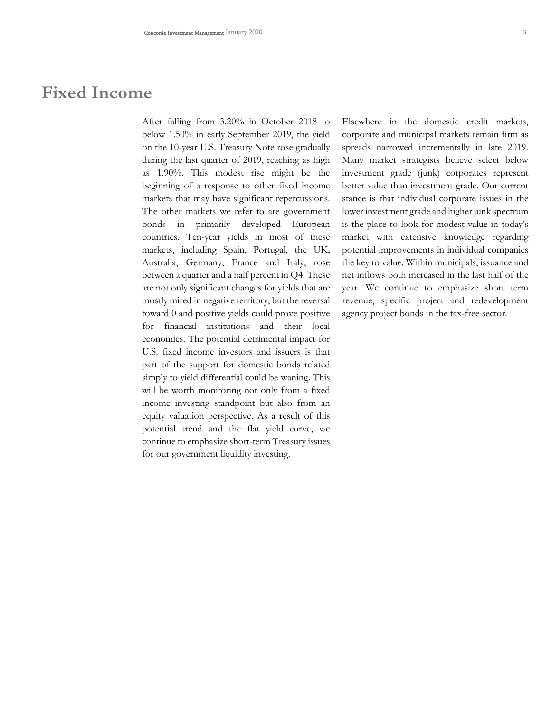### **Fixed Income**

After falling from 3.20% in October 2018 to below 1.50% in early September 2019, the yield on the 10-year U.S. Treasury Note rose gradually during the last quarter of 2019, reaching as high as 1.90%. This modest rise might be the beginning of a response to other fixed income markets that may have significant repercussions. The other markets we refer to are government bonds in primarily developed European countries. Ten-year yields in most of these markets, including Spain, Portugal, the UK, Australia, Germany, France and Italy, rose between a quarter and a half percent in Q4. These are not only significant changes for yields that are mostly mired in negative territory, but the reversal toward 0 and positive yields could prove positive for financial institutions and their local economies. The potential detrimental impact for U.S. fixed income investors and issuers is that part of the support for domestic bonds related simply to yield differential could be waning. This will be worth monitoring not only from a fixed income investing standpoint but also from an equity valuation perspective. As a result of this potential trend and the flat yield curve, we continue to emphasize short-term Treasury issues for our government liquidity investing.

Elsewhere in the domestic credit markets, corporate and municipal markets remain firm as spreads narrowed incrementally in late 2019. Many market strategists believe select below investment grade (junk) corporates represent better value than investment grade. Our current stance is that individual corporate issues in the lower investment grade and higher junk spectrum is the place to look for modest value in today's market with extensive knowledge regarding potential improvements in individual companies the key to value. Within municipals, issuance and net inflows both increased in the last half of the year. We continue to emphasize short term revenue, specific project and redevelopment agency project bonds in the tax-free sector.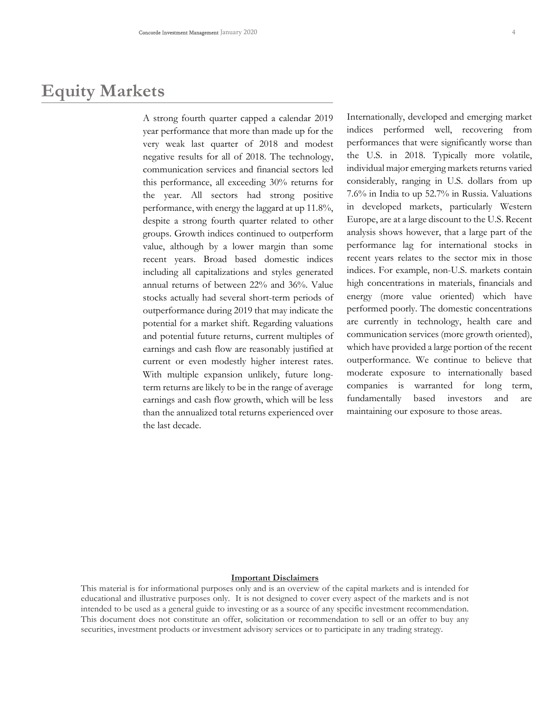### **Equity Markets**

A strong fourth quarter capped a calendar 2019 year performance that more than made up for the very weak last quarter of 2018 and modest negative results for all of 2018. The technology, communication services and financial sectors led this performance, all exceeding 30% returns for the year. All sectors had strong positive performance, with energy the laggard at up 11.8%, despite a strong fourth quarter related to other groups. Growth indices continued to outperform value, although by a lower margin than some recent years. Broad based domestic indices including all capitalizations and styles generated annual returns of between 22% and 36%. Value stocks actually had several short-term periods of outperformance during 2019 that may indicate the potential for a market shift. Regarding valuations and potential future returns, current multiples of earnings and cash flow are reasonably justified at current or even modestly higher interest rates. With multiple expansion unlikely, future longterm returns are likely to be in the range of average earnings and cash flow growth, which will be less than the annualized total returns experienced over the last decade.

Internationally, developed and emerging market indices performed well, recovering from performances that were significantly worse than the U.S. in 2018. Typically more volatile, individual major emerging markets returns varied considerably, ranging in U.S. dollars from up 7.6% in India to up 52.7% in Russia. Valuations in developed markets, particularly Western Europe, are at a large discount to the U.S. Recent analysis shows however, that a large part of the performance lag for international stocks in recent years relates to the sector mix in those indices. For example, non-U.S. markets contain high concentrations in materials, financials and energy (more value oriented) which have performed poorly. The domestic concentrations are currently in technology, health care and communication services (more growth oriented), which have provided a large portion of the recent outperformance. We continue to believe that moderate exposure to internationally based companies is warranted for long term, fundamentally based investors and are maintaining our exposure to those areas.

#### **Important Disclaimers**

This material is for informational purposes only and is an overview of the capital markets and is intended for educational and illustrative purposes only. It is not designed to cover every aspect of the markets and is not intended to be used as a general guide to investing or as a source of any specific investment recommendation. This document does not constitute an offer, solicitation or recommendation to sell or an offer to buy any securities, investment products or investment advisory services or to participate in any trading strategy.